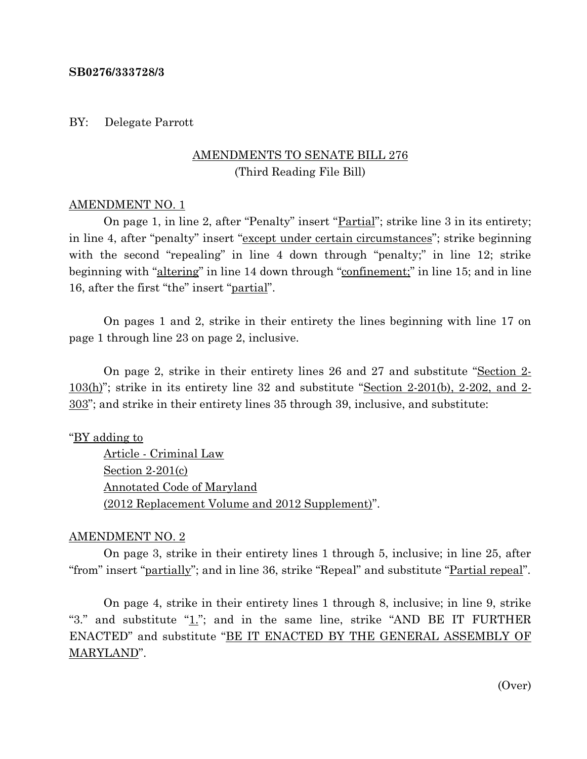#### **SB0276/333728/3**

#### BY: Delegate Parrott

# AMENDMENTS TO SENATE BILL 276 (Third Reading File Bill)

#### AMENDMENT NO. 1

On page 1, in line 2, after "Penalty" insert "<u>Partial</u>"; strike line 3 in its entirety; in line 4, after "penalty" insert "except under certain circumstances"; strike beginning with the second "repealing" in line 4 down through "penalty;" in line 12; strike beginning with "altering" in line 14 down through "confinement;" in line 15; and in line 16, after the first "the" insert "partial".

On pages 1 and 2, strike in their entirety the lines beginning with line 17 on page 1 through line 23 on page 2, inclusive.

On page 2, strike in their entirety lines 26 and 27 and substitute "Section 2- 103(h)"; strike in its entirety line 32 and substitute "Section 2-201(b), 2-202, and 2- 303"; and strike in their entirety lines 35 through 39, inclusive, and substitute:

"BY adding to

Article - Criminal Law Section 2-201(c) Annotated Code of Maryland (2012 Replacement Volume and 2012 Supplement)".

### AMENDMENT NO. 2

On page 3, strike in their entirety lines 1 through 5, inclusive; in line 25, after "from" insert "partially"; and in line 36, strike "Repeal" and substitute "Partial repeal".

On page 4, strike in their entirety lines 1 through 8, inclusive; in line 9, strike "3." and substitute " $1$ ."; and in the same line, strike "AND BE IT FURTHER ENACTED" and substitute "BE IT ENACTED BY THE GENERAL ASSEMBLY OF MARYLAND".

(Over)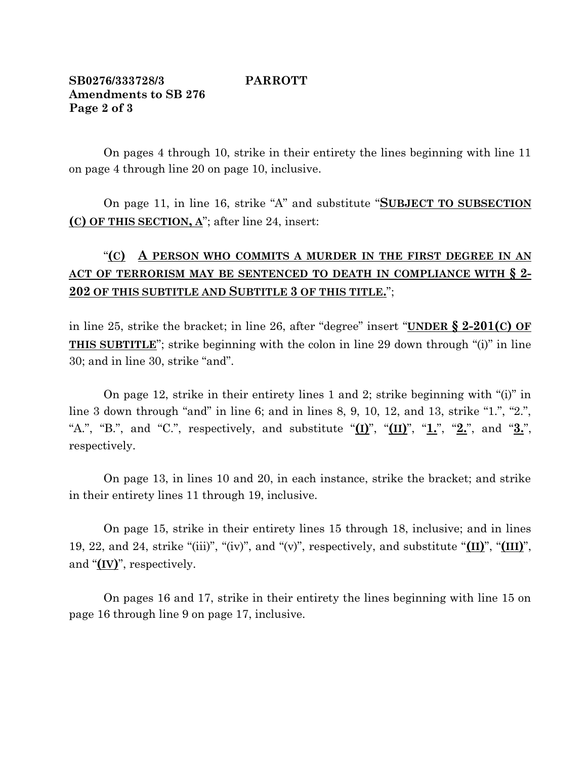## **SB0276/333728/3 PARROTT Amendments to SB 276 Page 2 of 3**

On pages 4 through 10, strike in their entirety the lines beginning with line 11 on page 4 through line 20 on page 10, inclusive.

On page 11, in line 16, strike "A" and substitute "**SUBJECT TO SUBSECTION (C) OF THIS SECTION, A**"; after line 24, insert:

# "**(C) A PERSON WHO COMMITS A MURDER IN THE FIRST DEGREE IN AN ACT OF TERRORISM MAY BE SENTENCED TO DEATH IN COMPLIANCE WITH § 2- 202 OF THIS SUBTITLE AND SUBTITLE 3 OF THIS TITLE.**";

in line 25, strike the bracket; in line 26, after "degree" insert "**UNDER § 2-201(C) OF THIS SUBTITLE**"; strike beginning with the colon in line 29 down through "(i)" in line 30; and in line 30, strike "and".

On page 12, strike in their entirety lines 1 and 2; strike beginning with "(i)" in line 3 down through "and" in line 6; and in lines 8, 9, 10, 12, and 13, strike "1.", "2.", "A.", "B.", and "C.", respectively, and substitute "**(I)**", "**(II)**", "**1.**", "**2.**", and "**3.**", respectively.

On page 13, in lines 10 and 20, in each instance, strike the bracket; and strike in their entirety lines 11 through 19, inclusive.

On page 15, strike in their entirety lines 15 through 18, inclusive; and in lines 19, 22, and 24, strike "(iii)", "(iv)", and "(v)", respectively, and substitute "**(II)**", "**(III)**", and "**(IV)**", respectively.

On pages 16 and 17, strike in their entirety the lines beginning with line 15 on page 16 through line 9 on page 17, inclusive.